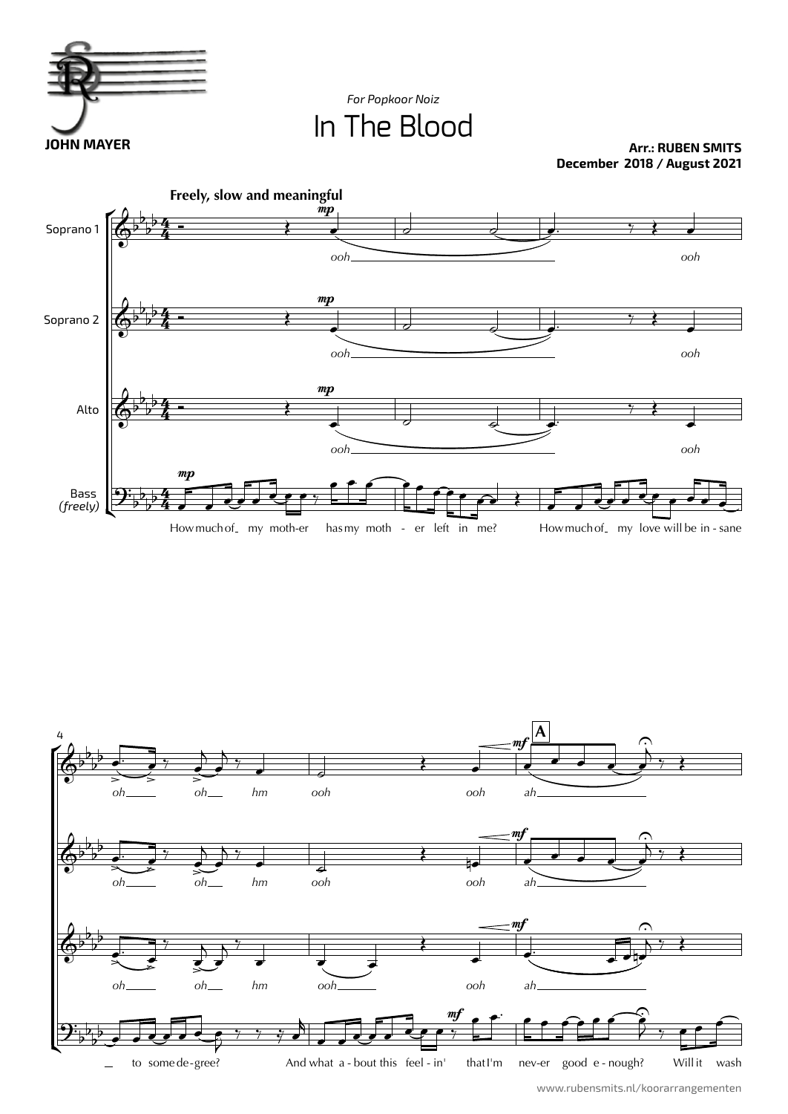

In The Blood *For Popkoor Noiz*

**Arr.: RUBEN SMITS December 2018 / August 2021**





www.rubensmits.nl/koorarrangementen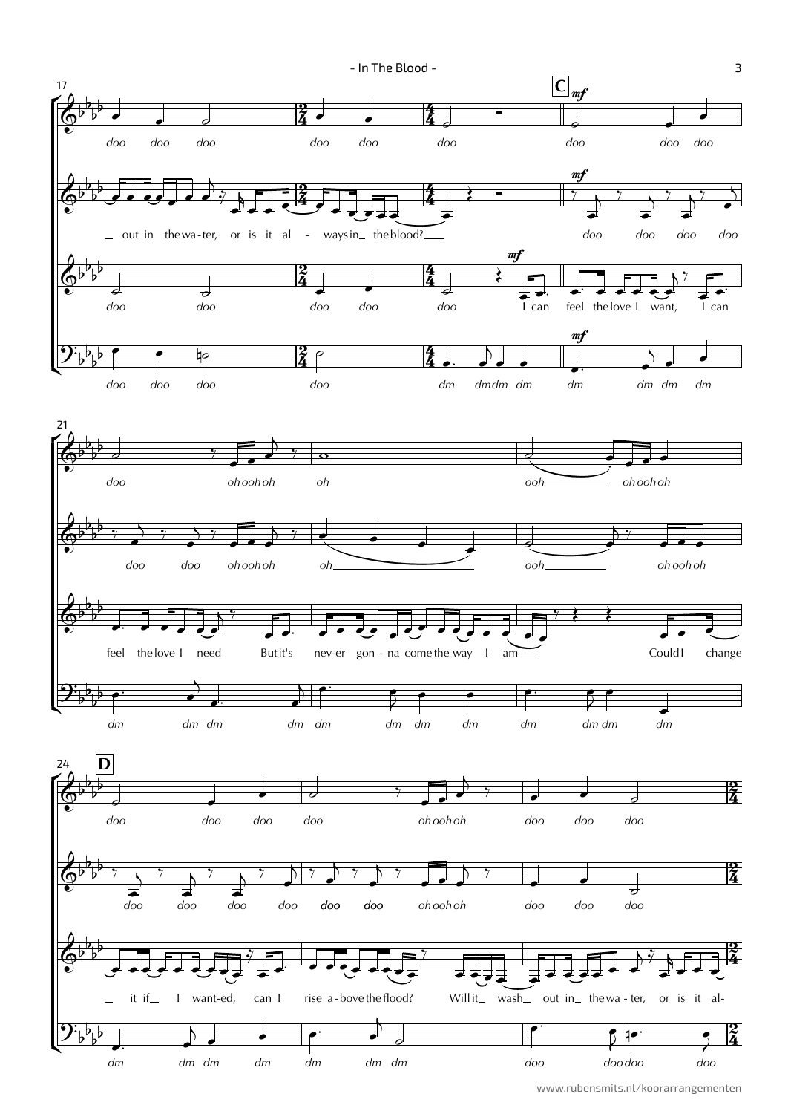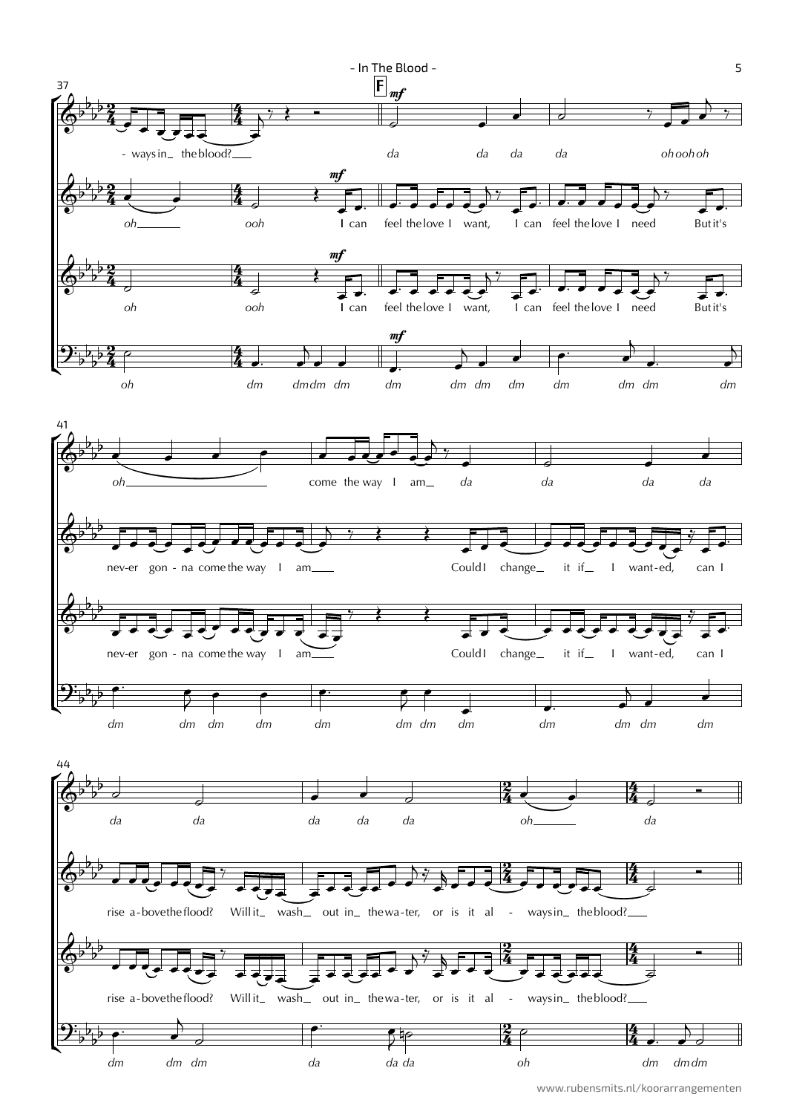

www.rubensmits.nl/koorarrangementen